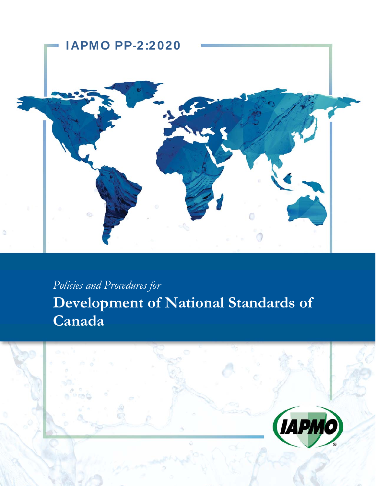

# *Policies and Procedures for*

**Development of National Standards of Canada** 

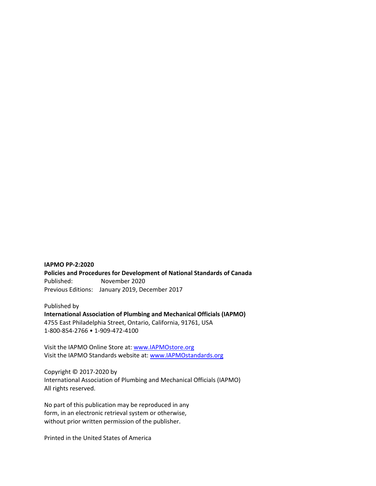#### **IAPMO PP‐2:2020**

**Policies and Procedures for Development of National Standards of Canada**  Published: November 2020 Previous Editions: January 2019, December 2017

Published by **International Association of Plumbing and Mechanical Officials (IAPMO)**  4755 East Philadelphia Street, Ontario, California, 91761, USA 1‐800‐854‐2766 • 1‐909‐472‐4100

Visit the IAPMO Online Store at: www.IAPMOstore.org Visit the IAPMO Standards website at: www.IAPMOstandards.org

Copyright © 2017‐2020 by International Association of Plumbing and Mechanical Officials (IAPMO) All rights reserved.

No part of this publication may be reproduced in any form, in an electronic retrieval system or otherwise, without prior written permission of the publisher.

Printed in the United States of America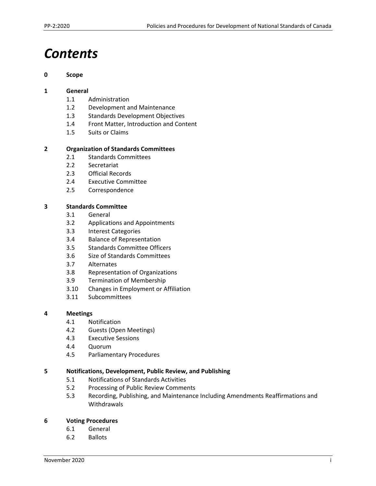# *Contents*

#### **0 Scope**

#### **1 General**

- 1.1 Administration
- 1.2 Development and Maintenance
- 1.3 Standards Development Objectives
- 1.4 Front Matter, Introduction and Content
- 1.5 Suits or Claims

### **2 Organization of Standards Committees**

- 2.1 Standards Committees
- 2.2 Secretariat
- 2.3 Official Records
- 2.4 Executive Committee
- 2.5 Correspondence

#### **3 Standards Committee**

- 3.1 General
- 3.2 Applications and Appointments
- 3.3 Interest Categories
- 3.4 Balance of Representation
- 3.5 Standards Committee Officers
- 3.6 Size of Standards Committees
- 3.7 Alternates
- 3.8 Representation of Organizations
- 3.9 Termination of Membership
- 3.10 Changes in Employment or Affiliation
- 3.11 Subcommittees

#### **4 Meetings**

- 4.1 Notification
- 4.2 Guests (Open Meetings)
- 4.3 Executive Sessions
- 4.4 Quorum
- 4.5 Parliamentary Procedures

#### **5 Notifications, Development, Public Review, and Publishing**

- 5.1 Notifications of Standards Activities
- 5.2 Processing of Public Review Comments
- 5.3 Recording, Publishing, and Maintenance Including Amendments Reaffirmations and Withdrawals

#### **6 Voting Procedures**

- 6.1 General
- 6.2 Ballots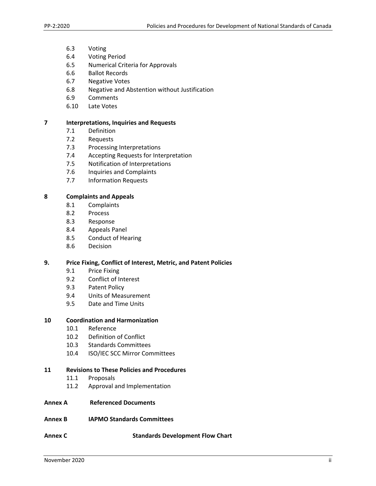- 6.3 Voting
- 6.4 Voting Period
- 6.5 Numerical Criteria for Approvals
- 6.6 Ballot Records
- 6.7 Negative Votes
- 6.8 Negative and Abstention without Justification
- 6.9 Comments
- 6.10 Late Votes

#### **7 Interpretations, Inquiries and Requests**

- 7.1 Definition
- 7.2 Requests
- 7.3 Processing Interpretations
- 7.4 Accepting Requests for Interpretation
- 7.5 Notification of Interpretations
- 7.6 Inquiries and Complaints
- 7.7 Information Requests

#### **8 Complaints and Appeals**

- 8.1 Complaints
- 8.2 Process
- 8.3 Response
- 8.4 Appeals Panel
- 8.5 Conduct of Hearing
- 8.6 Decision

#### **9. Price Fixing, Conflict of Interest, Metric, and Patent Policies**

- 9.1 Price Fixing
- 9.2 Conflict of Interest
- 9.3 Patent Policy
- 9.4 Units of Measurement
- 9.5 Date and Time Units

#### **10 Coordination and Harmonization**

- 10.1 Reference
- 10.2 Definition of Conflict
- 10.3 Standards Committees
- 10.4 ISO/IEC SCC Mirror Committees

#### **11 Revisions to These Policies and Procedures**

- 11.1 Proposals
- 11.2 Approval and Implementation
- **Annex A Referenced Documents**
- **Annex B IAPMO Standards Committees**
- **Annex C Standards Development Flow Chart**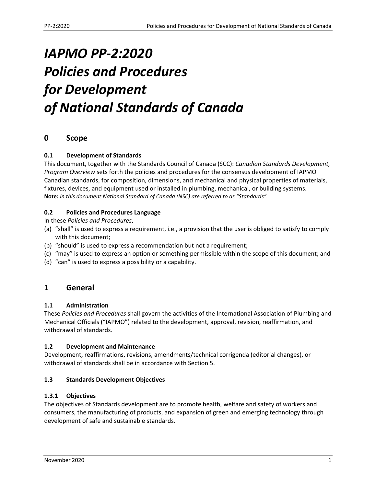# *IAPMO PP‐2:2020 Policies and Procedures for Development of National Standards of Canada*

## **0 Scope**

## **0.1 Development of Standards**

This document, together with the Standards Council of Canada (SCC): *Canadian Standards Development, Program Overview* sets forth the policies and procedures for the consensus development of IAPMO Canadian standards, for composition, dimensions, and mechanical and physical properties of materials, fixtures, devices, and equipment used or installed in plumbing, mechanical, or building systems. **Note:** *In this document National Standard of Canada (NSC) are referred to as "Standards".* 

### **0.2 Policies and Procedures Language**

In these *Policies and Procedures*,

- (a) "shall" is used to express a requirement, i.e., a provision that the user is obliged to satisfy to comply with this document;
- (b) "should" is used to express a recommendation but not a requirement;
- (c) "may" is used to express an option or something permissible within the scope of this document; and
- (d) "can" is used to express a possibility or a capability.

## **1 General**

### **1.1 Administration**

These *Policies and Procedures* shall govern the activities of the International Association of Plumbing and Mechanical Officials ("IAPMO") related to the development, approval, revision, reaffirmation, and withdrawal of standards.

### **1.2 Development and Maintenance**

Development, reaffirmations, revisions, amendments/technical corrigenda (editorial changes), or withdrawal of standards shall be in accordance with Section 5.

### **1.3 Standards Development Objectives**

### **1.3.1 Objectives**

The objectives of Standards development are to promote health, welfare and safety of workers and consumers, the manufacturing of products, and expansion of green and emerging technology through development of safe and sustainable standards.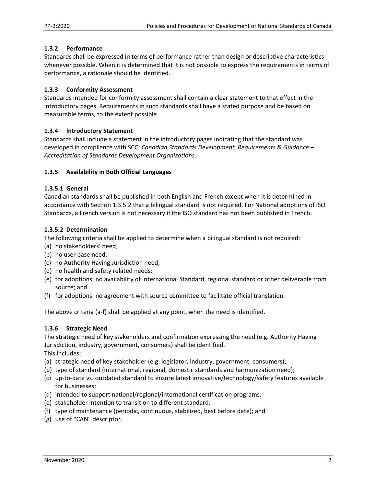#### **1.3.2 Performance**

Standards shall be expressed in terms of performance rather than design or descriptive characteristics whenever possible. When it is determined that it is not possible to express the requirements in terms of performance, a rationale should be identified.

### **1.3.3 Conformity Assessment**

Standards intended for conformity assessment shall contain a clear statement to that effect in the introductory pages. Requirements in such standards shall have a stated purpose and be based on measurable terms, to the extent possible.

### **1.3.4 Introductory Statement**

Standards shall include a statement in the introductory pages indicating that the standard was developed in compliance with SCC: *Canadian Standards Development, Requirements & Guidance – Accreditation of Standards Development Organizations*.

#### **1.3.5 Availability in Both Official Languages**

#### **1.3.5.1 General**

Canadian standards shall be published in both English and French except when it is determined in accordance with Section 1.3.5.2 that a bilingual standard is not required. For National adoptions of ISO Standards, a French version is not necessary if the ISO standard has not been published in French.

#### **1.3.5.2 Determination**

The following criteria shall be applied to determine when a bilingual standard is not required:

- (a) no stakeholders' need;
- (b) no user base need;
- (c) no Authority Having Jurisdiction need;
- (d) no health and safety related needs;
- (e) for adoptions: no availability of International Standard, regional standard or other deliverable from source; and
- (f) for adoptions: no agreement with source committee to facilitate official translation.

The above criteria (a‐f) shall be applied at any point, when the need is identified.

### **1.3.6 Strategic Need**

The strategic need of key stakeholders and confirmation expressing the need (e.g. Authority Having Jurisdiction, industry, government, consumers) shall be identified. This includes:

- (a) strategic need of key stakeholder (e.g. legislator, industry, government, consumers);
- (b) type of standard (international, regional, domestic standards and harmonization need);
- (c) up‐to‐date vs. outdated standard to ensure latest innovative/technology/safety features available for businesses;
- (d) intended to support national/regional/international certification programs;
- (e) stakeholder intention to transition to different standard;
- (f) type of maintenance (periodic, continuous, stabilized, best before date); and
- (g) use of "CAN" descriptor.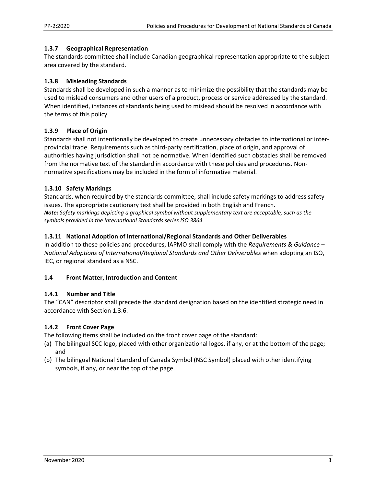#### **1.3.7 Geographical Representation**

The standards committee shall include Canadian geographical representation appropriate to the subject area covered by the standard.

#### **1.3.8 Misleading Standards**

Standards shall be developed in such a manner as to minimize the possibility that the standards may be used to mislead consumers and other users of a product, process or service addressed by the standard. When identified, instances of standards being used to mislead should be resolved in accordance with the terms of this policy.

### **1.3.9 Place of Origin**

Standards shall not intentionally be developed to create unnecessary obstacles to international or inter‐ provincial trade. Requirements such as third‐party certification, place of origin, and approval of authorities having jurisdiction shall not be normative. When identified such obstacles shall be removed from the normative text of the standard in accordance with these policies and procedures. Non‐ normative specifications may be included in the form of informative material.

#### **1.3.10 Safety Markings**

Standards, when required by the standards committee, shall include safety markings to address safety issues. The appropriate cautionary text shall be provided in both English and French. *Note: Safety markings depicting a graphical symbol without supplementary text are acceptable, such as the symbols provided in the International Standards series ISO 3864.* 

#### **1.3.11 National Adoption of International/Regional Standards and Other Deliverables**

In addition to these policies and procedures, IAPMO shall comply with the *Requirements & Guidance – National Adoptions of International/Regional Standards and Other Deliverables* when adopting an ISO, IEC, or regional standard as a NSC.

#### **1.4 Front Matter, Introduction and Content**

#### **1.4.1 Number and Title**

The "CAN" descriptor shall precede the standard designation based on the identified strategic need in accordance with Section 1.3.6.

#### **1.4.2 Front Cover Page**

The following items shall be included on the front cover page of the standard:

- (a) The bilingual SCC logo, placed with other organizational logos, if any, or at the bottom of the page; and
- (b) The bilingual National Standard of Canada Symbol (NSC Symbol) placed with other identifying symbols, if any, or near the top of the page.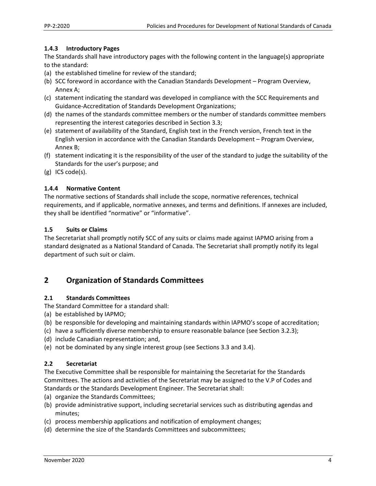#### **1.4.3 Introductory Pages**

The Standards shall have introductory pages with the following content in the language(s) appropriate to the standard:

- (a) the established timeline for review of the standard;
- (b) SCC foreword in accordance with the Canadian Standards Development Program Overview, Annex A;
- (c) statement indicating the standard was developed in compliance with the SCC Requirements and Guidance‐Accreditation of Standards Development Organizations;
- (d) the names of the standards committee members or the number of standards committee members representing the interest categories described in Section 3.3;
- (e) statement of availability of the Standard, English text in the French version, French text in the English version in accordance with the Canadian Standards Development – Program Overview, Annex B;
- (f) statement indicating it is the responsibility of the user of the standard to judge the suitability of the Standards for the user's purpose; and
- (g) ICS code(s).

### **1.4.4 Normative Content**

The normative sections of Standards shall include the scope, normative references, technical requirements, and if applicable, normative annexes, and terms and definitions. If annexes are included, they shall be identified "normative" or "informative".

#### **1.5 Suits or Claims**

The Secretariat shall promptly notify SCC of any suits or claims made against IAPMO arising from a standard designated as a National Standard of Canada. The Secretariat shall promptly notify its legal department of such suit or claim.

## **2 Organization of Standards Committees**

#### **2.1 Standards Committees**

The Standard Committee for a standard shall:

- (a) be established by IAPMO;
- (b) be responsible for developing and maintaining standards within IAPMO's scope of accreditation;
- (c) have a sufficiently diverse membership to ensure reasonable balance (see Section 3.2.3);
- (d) include Canadian representation; and,
- (e) not be dominated by any single interest group (see Sections 3.3 and 3.4).

### **2.2 Secretariat**

The Executive Committee shall be responsible for maintaining the Secretariat for the Standards Committees. The actions and activities of the Secretariat may be assigned to the V.P of Codes and Standards or the Standards Development Engineer. The Secretariat shall:

- (a) organize the Standards Committees;
- (b) provide administrative support, including secretarial services such as distributing agendas and minutes;
- (c) process membership applications and notification of employment changes;
- (d) determine the size of the Standards Committees and subcommittees;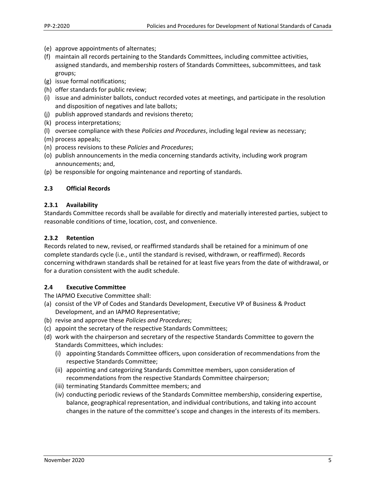- (e) approve appointments of alternates;
- (f) maintain all records pertaining to the Standards Committees, including committee activities, assigned standards, and membership rosters of Standards Committees, subcommittees, and task groups;
- (g) issue formal notifications;
- (h) offer standards for public review;
- (i) issue and administer ballots, conduct recorded votes at meetings, and participate in the resolution and disposition of negatives and late ballots;
- (j) publish approved standards and revisions thereto;
- (k) process interpretations;
- (l) oversee compliance with these *Policies and Procedures*, including legal review as necessary;

(m) process appeals;

- (n) process revisions to these *Policies* and *Procedures*;
- (o) publish announcements in the media concerning standards activity, including work program announcements; and,
- (p) be responsible for ongoing maintenance and reporting of standards.

#### **2.3 Official Records**

#### **2.3.1 Availability**

Standards Committee records shall be available for directly and materially interested parties, subject to reasonable conditions of time, location, cost, and convenience.

### **2.3.2 Retention**

Records related to new, revised, or reaffirmed standards shall be retained for a minimum of one complete standards cycle (i.e., until the standard is revised, withdrawn, or reaffirmed). Records concerning withdrawn standards shall be retained for at least five years from the date of withdrawal, or for a duration consistent with the audit schedule.

### **2.4 Executive Committee**

The IAPMO Executive Committee shall:

- (a) consist of the VP of Codes and Standards Development, Executive VP of Business & Product Development, and an IAPMO Representative;
- (b) revise and approve these *Policies and Procedures*;
- (c) appoint the secretary of the respective Standards Committees;
- (d) work with the chairperson and secretary of the respective Standards Committee to govern the Standards Committees, which includes:
	- (i) appointing Standards Committee officers, upon consideration of recommendations from the respective Standards Committee;
	- (ii) appointing and categorizing Standards Committee members, upon consideration of recommendations from the respective Standards Committee chairperson;
	- (iii) terminating Standards Committee members; and
	- (iv) conducting periodic reviews of the Standards Committee membership, considering expertise, balance, geographical representation, and individual contributions, and taking into account changes in the nature of the committee's scope and changes in the interests of its members.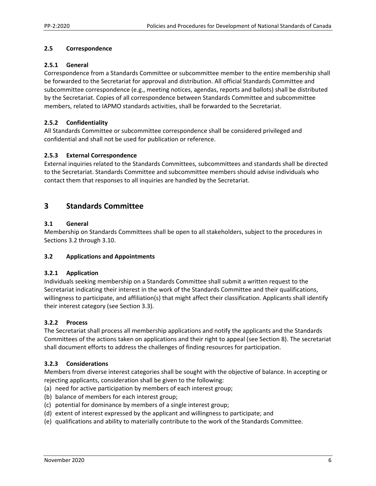#### **2.5 Correspondence**

#### **2.5.1 General**

Correspondence from a Standards Committee or subcommittee member to the entire membership shall be forwarded to the Secretariat for approval and distribution. All official Standards Committee and subcommittee correspondence (e.g., meeting notices, agendas, reports and ballots) shall be distributed by the Secretariat. Copies of all correspondence between Standards Committee and subcommittee members, related to IAPMO standards activities, shall be forwarded to the Secretariat.

#### **2.5.2 Confidentiality**

All Standards Committee or subcommittee correspondence shall be considered privileged and confidential and shall not be used for publication or reference.

#### **2.5.3 External Correspondence**

External inquiries related to the Standards Committees, subcommittees and standards shall be directed to the Secretariat. Standards Committee and subcommittee members should advise individuals who contact them that responses to all inquiries are handled by the Secretariat.

## **3 Standards Committee**

#### **3.1 General**

Membership on Standards Committees shall be open to all stakeholders, subject to the procedures in Sections 3.2 through 3.10.

#### **3.2 Applications and Appointments**

#### **3.2.1 Application**

Individuals seeking membership on a Standards Committee shall submit a written request to the Secretariat indicating their interest in the work of the Standards Committee and their qualifications, willingness to participate, and affiliation(s) that might affect their classification. Applicants shall identify their interest category (see Section 3.3).

#### **3.2.2 Process**

The Secretariat shall process all membership applications and notify the applicants and the Standards Committees of the actions taken on applications and their right to appeal (see Section 8). The secretariat shall document efforts to address the challenges of finding resources for participation.

#### **3.2.3 Considerations**

Members from diverse interest categories shall be sought with the objective of balance. In accepting or rejecting applicants, consideration shall be given to the following:

- (a) need for active participation by members of each interest group;
- (b) balance of members for each interest group;
- (c) potential for dominance by members of a single interest group;
- (d) extent of interest expressed by the applicant and willingness to participate; and
- (e) qualifications and ability to materially contribute to the work of the Standards Committee.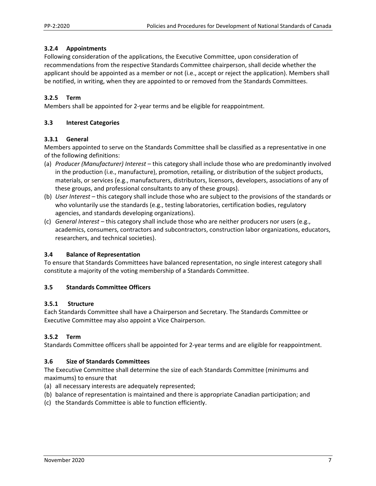#### **3.2.4 Appointments**

Following consideration of the applications, the Executive Committee, upon consideration of recommendations from the respective Standards Committee chairperson, shall decide whether the applicant should be appointed as a member or not (i.e., accept or reject the application). Members shall be notified, in writing, when they are appointed to or removed from the Standards Committees.

### **3.2.5 Term**

Members shall be appointed for 2‐year terms and be eligible for reappointment.

#### **3.3 Interest Categories**

#### **3.3.1 General**

Members appointed to serve on the Standards Committee shall be classified as a representative in one of the following definitions:

- (a) *Producer (Manufacturer) Interest* this category shall include those who are predominantly involved in the production (i.e., manufacture), promotion, retailing, or distribution of the subject products, materials, or services (e.g., manufacturers, distributors, licensors, developers, associations of any of these groups, and professional consultants to any of these groups).
- (b) *User Interest* this category shall include those who are subject to the provisions of the standards or who voluntarily use the standards (e.g., testing laboratories, certification bodies, regulatory agencies, and standards developing organizations).
- (c) *General Interest* this category shall include those who are neither producers nor users (e.g., academics, consumers, contractors and subcontractors, construction labor organizations, educators, researchers, and technical societies).

#### **3.4 Balance of Representation**

To ensure that Standards Committees have balanced representation, no single interest category shall constitute a majority of the voting membership of a Standards Committee.

#### **3.5 Standards Committee Officers**

#### **3.5.1 Structure**

Each Standards Committee shall have a Chairperson and Secretary. The Standards Committee or Executive Committee may also appoint a Vice Chairperson.

### **3.5.2 Term**

Standards Committee officers shall be appointed for 2‐year terms and are eligible for reappointment.

### **3.6 Size of Standards Committees**

The Executive Committee shall determine the size of each Standards Committee (minimums and maximums) to ensure that

- (a) all necessary interests are adequately represented;
- (b) balance of representation is maintained and there is appropriate Canadian participation; and
- (c) the Standards Committee is able to function efficiently.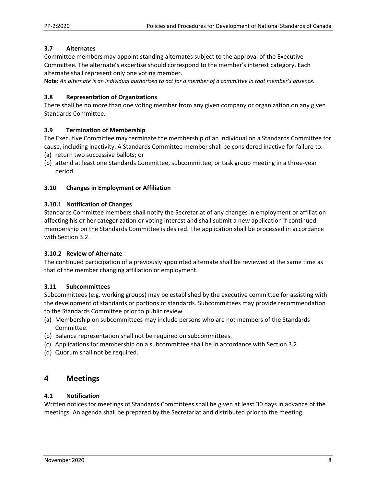#### **3.7 Alternates**

Committee members may appoint standing alternates subject to the approval of the Executive Committee. The alternate's expertise should correspond to the member's interest category. Each alternate shall represent only one voting member.

**Note:** *An alternate is an individual authorized to act for a member of a committee in that member's absence.* 

#### **3.8 Representation of Organizations**

There shall be no more than one voting member from any given company or organization on any given Standards Committee.

#### **3.9 Termination of Membership**

The Executive Committee may terminate the membership of an individual on a Standards Committee for cause, including inactivity. A Standards Committee member shall be considered inactive for failure to:

- (a) return two successive ballots; or
- (b) attend at least one Standards Committee, subcommittee, or task group meeting in a three‐year period.

#### **3.10 Changes in Employment or Affiliation**

#### **3.10.1 Notification of Changes**

Standards Committee members shall notify the Secretariat of any changes in employment or affiliation affecting his or her categorization or voting interest and shall submit a new application if continued membership on the Standards Committee is desired. The application shall be processed in accordance with Section 3.2.

#### **3.10.2 Review of Alternate**

The continued participation of a previously appointed alternate shall be reviewed at the same time as that of the member changing affiliation or employment.

#### **3.11 Subcommittees**

Subcommittees (e.g. working groups) may be established by the executive committee for assisting with the development of standards or portions of standards. Subcommittees may provide recommendation to the Standards Committee prior to public review.

- (a) Membership on subcommittees may include persons who are not members of the Standards Committee.
- (b) Balance representation shall not be required on subcommittees.
- (c) Applications for membership on a subcommittee shall be in accordance with Section 3.2.
- (d) Quorum shall not be required.

## **4 Meetings**

#### **4.1 Notification**

Written notices for meetings of Standards Committees shall be given at least 30 days in advance of the meetings. An agenda shall be prepared by the Secretariat and distributed prior to the meeting.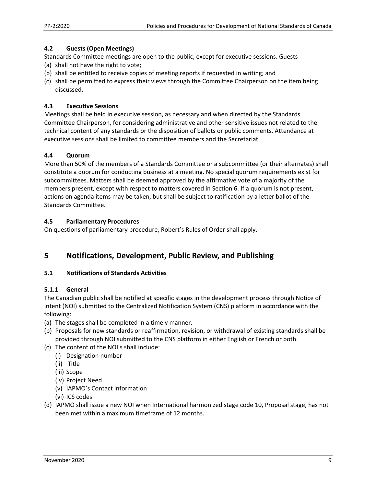#### **4.2 Guests (Open Meetings)**

Standards Committee meetings are open to the public, except for executive sessions. Guests

- (a) shall not have the right to vote;
- (b) shall be entitled to receive copies of meeting reports if requested in writing; and
- (c) shall be permitted to express their views through the Committee Chairperson on the item being discussed.

## **4.3 Executive Sessions**

Meetings shall be held in executive session, as necessary and when directed by the Standards Committee Chairperson, for considering administrative and other sensitive issues not related to the technical content of any standards or the disposition of ballots or public comments. Attendance at executive sessions shall be limited to committee members and the Secretariat.

## **4.4 Quorum**

More than 50% of the members of a Standards Committee or a subcommittee (or their alternates) shall constitute a quorum for conducting business at a meeting. No special quorum requirements exist for subcommittees. Matters shall be deemed approved by the affirmative vote of a majority of the members present, except with respect to matters covered in Section 6. If a quorum is not present, actions on agenda items may be taken, but shall be subject to ratification by a letter ballot of the Standards Committee.

### **4.5 Parliamentary Procedures**

On questions of parliamentary procedure, Robert's Rules of Order shall apply.

# **5 Notifications, Development, Public Review, and Publishing**

### **5.1 Notifications of Standards Activities**

### **5.1.1 General**

The Canadian public shall be notified at specific stages in the development process through Notice of Intent (NOI) submitted to the Centralized Notification System (CNS) platform in accordance with the following:

- (a) The stages shall be completed in a timely manner.
- (b) Proposals for new standards or reaffirmation, revision, or withdrawal of existing standards shall be provided through NOI submitted to the CNS platform in either English or French or both.
- (c) The content of the NOI's shall include:
	- (i) Designation number
	- (ii) Title
	- (iii) Scope
	- (iv) Project Need
	- (v) IAPMO's Contact information
	- (vi) ICS codes
- (d) IAPMO shall issue a new NOI when International harmonized stage code 10, Proposal stage, has not been met within a maximum timeframe of 12 months.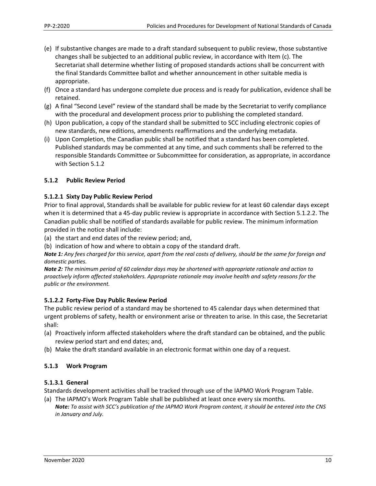- (e) If substantive changes are made to a draft standard subsequent to public review, those substantive changes shall be subjected to an additional public review, in accordance with Item (c). The Secretariat shall determine whether listing of proposed standards actions shall be concurrent with the final Standards Committee ballot and whether announcement in other suitable media is appropriate.
- (f) Once a standard has undergone complete due process and is ready for publication, evidence shall be retained.
- (g) A final "Second Level" review of the standard shall be made by the Secretariat to verify compliance with the procedural and development process prior to publishing the completed standard.
- (h) Upon publication, a copy of the standard shall be submitted to SCC including electronic copies of new standards, new editions, amendments reaffirmations and the underlying metadata.
- (i) Upon Completion, the Canadian public shall be notified that a standard has been completed. Published standards may be commented at any time, and such comments shall be referred to the responsible Standards Committee or Subcommittee for consideration, as appropriate, in accordance with Section 5.1.2

### **5.1.2 Public Review Period**

### **5.1.2.1 Sixty Day Public Review Period**

Prior to final approval, Standards shall be available for public review for at least 60 calendar days except when it is determined that a 45-day public review is appropriate in accordance with Section 5.1.2.2. The Canadian public shall be notified of standards available for public review. The minimum information provided in the notice shall include:

(a) the start and end dates of the review period; and,

(b) indication of how and where to obtain a copy of the standard draft.

*Note 1: Any fees charged for this service, apart from the real costs of delivery, should be the same for foreign and domestic parties.* 

*Note 2: The minimum period of 60 calendar days may be shortened with appropriate rationale and action to proactively inform affected stakeholders. Appropriate rationale may involve health and safety reasons for the public or the environment.*

### **5.1.2.2 Forty‐Five Day Public Review Period**

The public review period of a standard may be shortened to 45 calendar days when determined that urgent problems of safety, health or environment arise or threaten to arise. In this case, the Secretariat shall:

- (a) Proactively inform affected stakeholders where the draft standard can be obtained, and the public review period start and end dates; and,
- (b) Make the draft standard available in an electronic format within one day of a request.

### **5.1.3 Work Program**

## **5.1.3.1 General**

Standards development activities shall be tracked through use of the IAPMO Work Program Table.

(a) The IAPMO's Work Program Table shall be published at least once every six months. *Note: To assist with SCC's publication of the IAPMO Work Program content, it should be entered into the CNS in January and July.*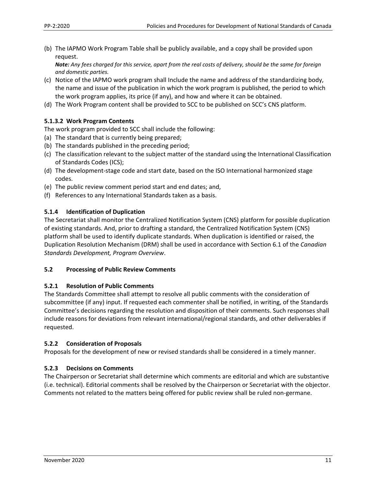(b) The IAPMO Work Program Table shall be publicly available, and a copy shall be provided upon request.

*Note: Any fees charged for this service, apart from the real costs of delivery, should be the same for foreign and domestic parties.* 

- (c) Notice of the IAPMO work program shall Include the name and address of the standardizing body, the name and issue of the publication in which the work program is published, the period to which the work program applies, its price (if any), and how and where it can be obtained.
- (d) The Work Program content shall be provided to SCC to be published on SCC's CNS platform.

### **5.1.3.2 Work Program Contents**

The work program provided to SCC shall include the following:

- (a) The standard that is currently being prepared;
- (b) The standards published in the preceding period;
- (c) The classification relevant to the subject matter of the standard using the International Classification of Standards Codes (ICS);
- (d) The development‐stage code and start date, based on the ISO International harmonized stage codes.
- (e) The public review comment period start and end dates; and,
- (f) References to any International Standards taken as a basis.

#### **5.1.4 Identification of Duplication**

The Secretariat shall monitor the Centralized Notification System (CNS) platform for possible duplication of existing standards. And, prior to drafting a standard, the Centralized Notification System (CNS) platform shall be used to identify duplicate standards. When duplication is identified or raised, the Duplication Resolution Mechanism (DRM) shall be used in accordance with Section 6.1 of the *Canadian Standards Development, Program Overview*.

#### **5.2 Processing of Public Review Comments**

#### **5.2.1 Resolution of Public Comments**

The Standards Committee shall attempt to resolve all public comments with the consideration of subcommittee (if any) input. If requested each commenter shall be notified, in writing, of the Standards Committee's decisions regarding the resolution and disposition of their comments. Such responses shall include reasons for deviations from relevant international/regional standards, and other deliverables if requested.

### **5.2.2 Consideration of Proposals**

Proposals for the development of new or revised standards shall be considered in a timely manner.

### **5.2.3 Decisions on Comments**

The Chairperson or Secretariat shall determine which comments are editorial and which are substantive (i.e. technical). Editorial comments shall be resolved by the Chairperson or Secretariat with the objector. Comments not related to the matters being offered for public review shall be ruled non‐germane.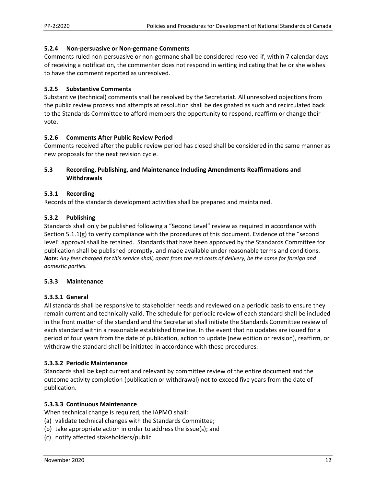#### **5.2.4 Non‐persuasive or Non‐germane Comments**

Comments ruled non‐persuasive or non‐germane shall be considered resolved if, within 7 calendar days of receiving a notification, the commenter does not respond in writing indicating that he or she wishes to have the comment reported as unresolved.

#### **5.2.5 Substantive Comments**

Substantive (technical) comments shall be resolved by the Secretariat. All unresolved objections from the public review process and attempts at resolution shall be designated as such and recirculated back to the Standards Committee to afford members the opportunity to respond, reaffirm or change their vote.

#### **5.2.6 Comments After Public Review Period**

Comments received after the public review period has closed shall be considered in the same manner as new proposals for the next revision cycle.

#### **5.3 Recording, Publishing, and Maintenance Including Amendments Reaffirmations and Withdrawals**

#### **5.3.1 Recording**

Records of the standards development activities shall be prepared and maintained.

#### **5.3.2 Publishing**

Standards shall only be published following a "Second Level" review as required in accordance with Section 5.1.1(g) to verify compliance with the procedures of this document. Evidence of the "second level" approval shall be retained. Standards that have been approved by the Standards Committee for publication shall be published promptly, and made available under reasonable terms and conditions. *Note: Any fees charged for this service shall, apart from the real costs of delivery, be the same for foreign and domestic parties.* 

#### **5.3.3 Maintenance**

#### **5.3.3.1 General**

All standards shall be responsive to stakeholder needs and reviewed on a periodic basis to ensure they remain current and technically valid. The schedule for periodic review of each standard shall be included in the front matter of the standard and the Secretariat shall initiate the Standards Committee review of each standard within a reasonable established timeline. In the event that no updates are issued for a period of four years from the date of publication, action to update (new edition or revision), reaffirm, or withdraw the standard shall be initiated in accordance with these procedures.

#### **5.3.3.2 Periodic Maintenance**

Standards shall be kept current and relevant by committee review of the entire document and the outcome activity completion (publication or withdrawal) not to exceed five years from the date of publication.

#### **5.3.3.3 Continuous Maintenance**

When technical change is required, the IAPMO shall:

- (a) validate technical changes with the Standards Committee;
- (b) take appropriate action in order to address the issue(s); and
- (c) notify affected stakeholders/public.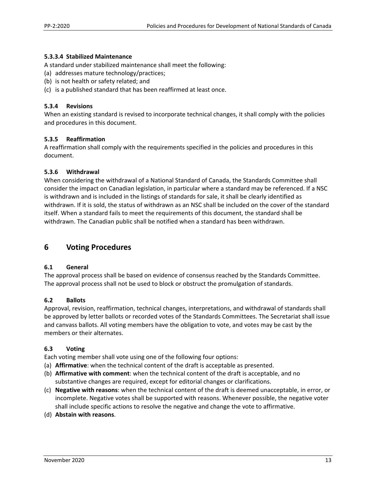### **5.3.3.4 Stabilized Maintenance**

A standard under stabilized maintenance shall meet the following:

- (a) addresses mature technology/practices;
- (b) is not health or safety related; and
- (c) is a published standard that has been reaffirmed at least once.

#### **5.3.4 Revisions**

When an existing standard is revised to incorporate technical changes, it shall comply with the policies and procedures in this document.

#### **5.3.5 Reaffirmation**

A reaffirmation shall comply with the requirements specified in the policies and procedures in this document.

#### **5.3.6 Withdrawal**

When considering the withdrawal of a National Standard of Canada, the Standards Committee shall consider the impact on Canadian legislation, in particular where a standard may be referenced. If a NSC is withdrawn and is included in the listings of standards for sale, it shall be clearly identified as withdrawn. If it is sold, the status of withdrawn as an NSC shall be included on the cover of the standard itself. When a standard fails to meet the requirements of this document, the standard shall be withdrawn. The Canadian public shall be notified when a standard has been withdrawn.

## **6 Voting Procedures**

### **6.1 General**

The approval process shall be based on evidence of consensus reached by the Standards Committee. The approval process shall not be used to block or obstruct the promulgation of standards.

#### **6.2 Ballots**

Approval, revision, reaffirmation, technical changes, interpretations, and withdrawal of standards shall be approved by letter ballots or recorded votes of the Standards Committees. The Secretariat shall issue and canvass ballots. All voting members have the obligation to vote, and votes may be cast by the members or their alternates.

### **6.3 Voting**

Each voting member shall vote using one of the following four options:

- (a) **Affirmative**: when the technical content of the draft is acceptable as presented.
- (b) **Affirmative with comment**: when the technical content of the draft is acceptable, and no substantive changes are required, except for editorial changes or clarifications.
- (c) **Negative with reasons**: when the technical content of the draft is deemed unacceptable, in error, or incomplete. Negative votes shall be supported with reasons. Whenever possible, the negative voter shall include specific actions to resolve the negative and change the vote to affirmative.
- (d) **Abstain with reasons**.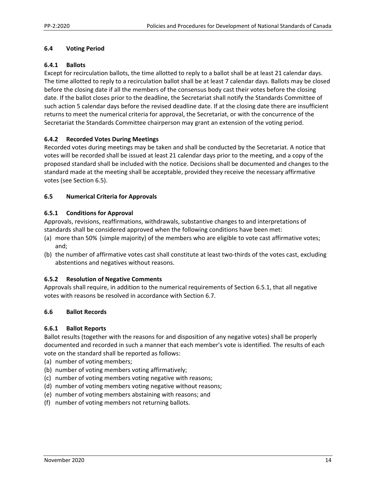### **6.4 Voting Period**

#### **6.4.1 Ballots**

Except for recirculation ballots, the time allotted to reply to a ballot shall be at least 21 calendar days. The time allotted to reply to a recirculation ballot shall be at least 7 calendar days. Ballots may be closed before the closing date if all the members of the consensus body cast their votes before the closing date. If the ballot closes prior to the deadline, the Secretariat shall notify the Standards Committee of such action 5 calendar days before the revised deadline date. If at the closing date there are insufficient returns to meet the numerical criteria for approval, the Secretariat, or with the concurrence of the Secretariat the Standards Committee chairperson may grant an extension of the voting period.

#### **6.4.2 Recorded Votes During Meetings**

Recorded votes during meetings may be taken and shall be conducted by the Secretariat. A notice that votes will be recorded shall be issued at least 21 calendar days prior to the meeting, and a copy of the proposed standard shall be included with the notice. Decisions shall be documented and changes to the standard made at the meeting shall be acceptable, provided they receive the necessary affirmative votes (see Section 6.5).

#### **6.5 Numerical Criteria for Approvals**

#### **6.5.1 Conditions for Approval**

Approvals, revisions, reaffirmations, withdrawals, substantive changes to and interpretations of standards shall be considered approved when the following conditions have been met:

- (a) more than 50% (simple majority) of the members who are eligible to vote cast affirmative votes; and;
- (b) the number of affirmative votes cast shall constitute at least two-thirds of the votes cast, excluding abstentions and negatives without reasons.

#### **6.5.2 Resolution of Negative Comments**

Approvals shall require, in addition to the numerical requirements of Section 6.5.1, that all negative votes with reasons be resolved in accordance with Section 6.7.

### **6.6 Ballot Records**

#### **6.6.1 Ballot Reports**

Ballot results (together with the reasons for and disposition of any negative votes) shall be properly documented and recorded in such a manner that each member's vote is identified. The results of each vote on the standard shall be reported as follows:

- (a) number of voting members;
- (b) number of voting members voting affirmatively;
- (c) number of voting members voting negative with reasons;
- (d) number of voting members voting negative without reasons;
- (e) number of voting members abstaining with reasons; and
- (f) number of voting members not returning ballots.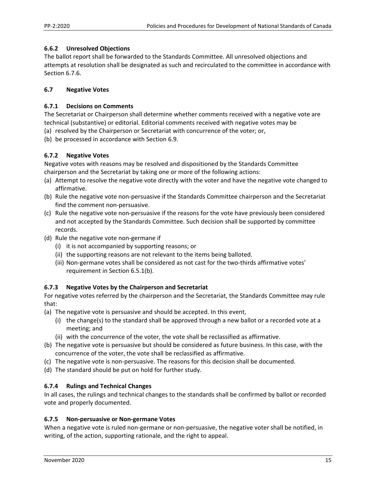### **6.6.2 Unresolved Objections**

The ballot report shall be forwarded to the Standards Committee. All unresolved objections and attempts at resolution shall be designated as such and recirculated to the committee in accordance with Section 6.7.6.

### **6.7 Negative Votes**

### **6.7.1 Decisions on Comments**

The Secretariat or Chairperson shall determine whether comments received with a negative vote are technical (substantive) or editorial. Editorial comments received with negative votes may be

- (a) resolved by the Chairperson or Secretariat with concurrence of the voter; or,
- (b) be processed in accordance with Section 6.9.

## **6.7.2 Negative Votes**

Negative votes with reasons may be resolved and dispositioned by the Standards Committee chairperson and the Secretariat by taking one or more of the following actions:

- (a) Attempt to resolve the negative vote directly with the voter and have the negative vote changed to affirmative.
- (b) Rule the negative vote non‐persuasive if the Standards Committee chairperson and the Secretariat find the comment non‐persuasive.
- (c) Rule the negative vote non‐persuasive if the reasons for the vote have previously been considered and not accepted by the Standards Committee. Such decision shall be supported by committee records.
- (d) Rule the negative vote non‐germane if
	- (i) it is not accompanied by supporting reasons; or
	- (ii) the supporting reasons are not relevant to the items being balloted.
	- (iii) Non-germane votes shall be considered as not cast for the two-thirds affirmative votes' requirement in Section 6.5.1(b).

## **6.7.3 Negative Votes by the Chairperson and Secretariat**

For negative votes referred by the chairperson and the Secretariat, the Standards Committee may rule that:

- (a) The negative vote is persuasive and should be accepted. In this event,
	- (i) the change(s) to the standard shall be approved through a new ballot or a recorded vote at a meeting; and
	- (ii) with the concurrence of the voter, the vote shall be reclassified as affirmative.
- (b) The negative vote is persuasive but should be considered as future business. In this case, with the concurrence of the voter, the vote shall be reclassified as affirmative.
- (c) The negative vote is non‐persuasive. The reasons for this decision shall be documented.
- (d) The standard should be put on hold for further study.

### **6.7.4 Rulings and Technical Changes**

In all cases, the rulings and technical changes to the standards shall be confirmed by ballot or recorded vote and properly documented.

### **6.7.5 Non‐persuasive or Non‐germane Votes**

When a negative vote is ruled non-germane or non-persuasive, the negative voter shall be notified, in writing, of the action, supporting rationale, and the right to appeal.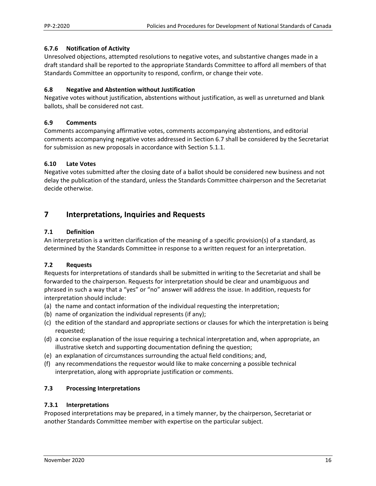### **6.7.6 Notification of Activity**

Unresolved objections, attempted resolutions to negative votes, and substantive changes made in a draft standard shall be reported to the appropriate Standards Committee to afford all members of that Standards Committee an opportunity to respond, confirm, or change their vote.

### **6.8 Negative and Abstention without Justification**

Negative votes without justification, abstentions without justification, as well as unreturned and blank ballots, shall be considered not cast.

### **6.9 Comments**

Comments accompanying affirmative votes, comments accompanying abstentions, and editorial comments accompanying negative votes addressed in Section 6.7 shall be considered by the Secretariat for submission as new proposals in accordance with Section 5.1.1.

## **6.10 Late Votes**

Negative votes submitted after the closing date of a ballot should be considered new business and not delay the publication of the standard, unless the Standards Committee chairperson and the Secretariat decide otherwise.

## **7 Interpretations, Inquiries and Requests**

### **7.1 Definition**

An interpretation is a written clarification of the meaning of a specific provision(s) of a standard, as determined by the Standards Committee in response to a written request for an interpretation.

## **7.2 Requests**

Requests for interpretations of standards shall be submitted in writing to the Secretariat and shall be forwarded to the chairperson. Requests for interpretation should be clear and unambiguous and phrased in such a way that a "yes" or "no" answer will address the issue. In addition, requests for interpretation should include:

- (a) the name and contact information of the individual requesting the interpretation;
- (b) name of organization the individual represents (if any);
- (c) the edition of the standard and appropriate sections or clauses for which the interpretation is being requested;
- (d) a concise explanation of the issue requiring a technical interpretation and, when appropriate, an illustrative sketch and supporting documentation defining the question;
- (e) an explanation of circumstances surrounding the actual field conditions; and,
- (f) any recommendations the requestor would like to make concerning a possible technical interpretation, along with appropriate justification or comments.

## **7.3 Processing Interpretations**

### **7.3.1 Interpretations**

Proposed interpretations may be prepared, in a timely manner, by the chairperson, Secretariat or another Standards Committee member with expertise on the particular subject.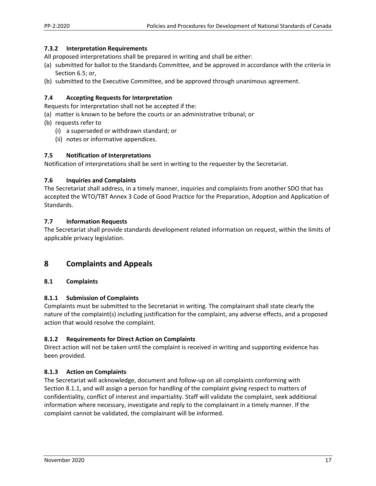#### **7.3.2 Interpretation Requirements**

All proposed interpretations shall be prepared in writing and shall be either:

- (a) submitted for ballot to the Standards Committee, and be approved in accordance with the criteria in Section 6.5; or,
- (b) submitted to the Executive Committee, and be approved through unanimous agreement.

#### **7.4 Accepting Requests for Interpretation**

Requests for interpretation shall not be accepted if the:

- (a) matter is known to be before the courts or an administrative tribunal; or
- (b) requests refer to
	- (i) a superseded or withdrawn standard; or
	- (ii) notes or informative appendices.

#### **7.5 Notification of Interpretations**

Notification of interpretations shall be sent in writing to the requester by the Secretariat.

#### **7.6 Inquiries and Complaints**

The Secretariat shall address, in a timely manner, inquiries and complaints from another SDO that has accepted the WTO/TBT Annex 3 Code of Good Practice for the Preparation, Adoption and Application of Standards.

#### **7.7 Information Requests**

The Secretariat shall provide standards development related information on request, within the limits of applicable privacy legislation.

## **8 Complaints and Appeals**

### **8.1 Complaints**

#### **8.1.1 Submission of Complaints**

Complaints must be submitted to the Secretariat in writing. The complainant shall state clearly the nature of the complaint(s) including justification for the complaint, any adverse effects, and a proposed action that would resolve the complaint.

### **8.1.2 Requirements for Direct Action on Complaints**

Direct action will not be taken until the complaint is received in writing and supporting evidence has been provided.

### **8.1.3 Action on Complaints**

The Secretariat will acknowledge, document and follow‐up on all complaints conforming with Section 8.1.1, and will assign a person for handling of the complaint giving respect to matters of confidentiality, conflict of interest and impartiality. Staff will validate the complaint, seek additional information where necessary, investigate and reply to the complainant in a timely manner. If the complaint cannot be validated, the complainant will be informed.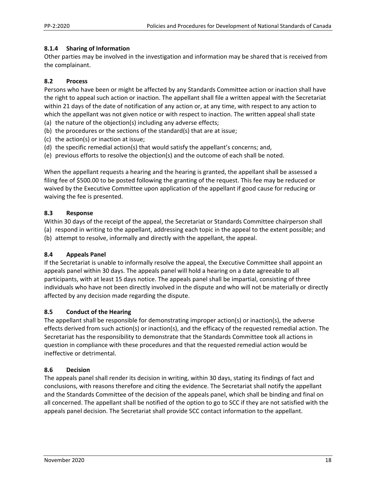#### **8.1.4 Sharing of Information**

Other parties may be involved in the investigation and information may be shared that is received from the complainant.

## **8.2 Process**

Persons who have been or might be affected by any Standards Committee action or inaction shall have the right to appeal such action or inaction. The appellant shall file a written appeal with the Secretariat within 21 days of the date of notification of any action or, at any time, with respect to any action to which the appellant was not given notice or with respect to inaction. The written appeal shall state

- (a) the nature of the objection(s) including any adverse effects;
- (b) the procedures or the sections of the standard(s) that are at issue;
- (c) the action(s) or inaction at issue;
- (d) the specific remedial action(s) that would satisfy the appellant's concerns; and,
- (e) previous efforts to resolve the objection(s) and the outcome of each shall be noted.

When the appellant requests a hearing and the hearing is granted, the appellant shall be assessed a filing fee of \$500.00 to be posted following the granting of the request. This fee may be reduced or waived by the Executive Committee upon application of the appellant if good cause for reducing or waiving the fee is presented.

#### **8.3 Response**

Within 30 days of the receipt of the appeal, the Secretariat or Standards Committee chairperson shall (a) respond in writing to the appellant, addressing each topic in the appeal to the extent possible; and (b) attempt to resolve, informally and directly with the appellant, the appeal.

### **8.4 Appeals Panel**

If the Secretariat is unable to informally resolve the appeal, the Executive Committee shall appoint an appeals panel within 30 days. The appeals panel will hold a hearing on a date agreeable to all participants, with at least 15 days notice. The appeals panel shall be impartial, consisting of three individuals who have not been directly involved in the dispute and who will not be materially or directly affected by any decision made regarding the dispute.

### **8.5 Conduct of the Hearing**

The appellant shall be responsible for demonstrating improper action(s) or inaction(s), the adverse effects derived from such action(s) or inaction(s), and the efficacy of the requested remedial action. The Secretariat has the responsibility to demonstrate that the Standards Committee took all actions in question in compliance with these procedures and that the requested remedial action would be ineffective or detrimental.

#### **8.6 Decision**

The appeals panel shall render its decision in writing, within 30 days, stating its findings of fact and conclusions, with reasons therefore and citing the evidence. The Secretariat shall notify the appellant and the Standards Committee of the decision of the appeals panel, which shall be binding and final on all concerned. The appellant shall be notified of the option to go to SCC if they are not satisfied with the appeals panel decision. The Secretariat shall provide SCC contact information to the appellant.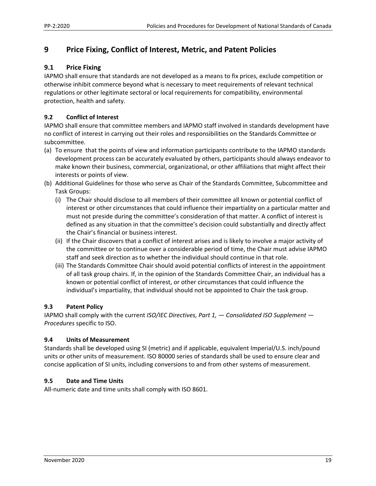# **9 Price Fixing, Conflict of Interest, Metric, and Patent Policies**

## **9.1 Price Fixing**

IAPMO shall ensure that standards are not developed as a means to fix prices, exclude competition or otherwise inhibit commerce beyond what is necessary to meet requirements of relevant technical regulations or other legitimate sectoral or local requirements for compatibility, environmental protection, health and safety.

## **9.2 Conflict of Interest**

IAPMO shall ensure that committee members and IAPMO staff involved in standards development have no conflict of interest in carrying out their roles and responsibilities on the Standards Committee or subcommittee.

- (a) To ensure that the points of view and information participants contribute to the IAPMO standards development process can be accurately evaluated by others, participants should always endeavor to make known their business, commercial, organizational, or other affiliations that might affect their interests or points of view.
- (b) Additional Guidelines for those who serve as Chair of the Standards Committee, Subcommittee and Task Groups:
	- (i) The Chair should disclose to all members of their committee all known or potential conflict of interest or other circumstances that could influence their impartiality on a particular matter and must not preside during the committee's consideration of that matter. A conflict of interest is defined as any situation in that the committee's decision could substantially and directly affect the Chair's financial or business interest.
	- (ii) If the Chair discovers that a conflict of interest arises and is likely to involve a major activity of the committee or to continue over a considerable period of time, the Chair must advise IAPMO staff and seek direction as to whether the individual should continue in that role.
	- (iii) The Standards Committee Chair should avoid potential conflicts of interest in the appointment of all task group chairs. If, in the opinion of the Standards Committee Chair, an individual has a known or potential conflict of interest, or other circumstances that could influence the individual's impartiality, that individual should not be appointed to Chair the task group.

## **9.3 Patent Policy**

IAPMO shall comply with the current *ISO/IEC Directives, Part 1, — Consolidated ISO Supplement — Procedures* specific to ISO.

### **9.4 Units of Measurement**

Standards shall be developed using SI (metric) and if applicable, equivalent Imperial/U.S. inch/pound units or other units of measurement. ISO 80000 series of standards shall be used to ensure clear and concise application of SI units, including conversions to and from other systems of measurement.

### **9.5 Date and Time Units**

All‐numeric date and time units shall comply with ISO 8601.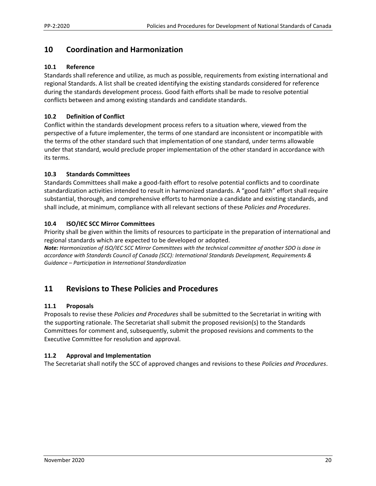## **10 Coordination and Harmonization**

### **10.1 Reference**

Standards shall reference and utilize, as much as possible, requirements from existing international and regional Standards. A list shall be created identifying the existing standards considered for reference during the standards development process. Good faith efforts shall be made to resolve potential conflicts between and among existing standards and candidate standards.

## **10.2 Definition of Conflict**

Conflict within the standards development process refers to a situation where, viewed from the perspective of a future implementer, the terms of one standard are inconsistent or incompatible with the terms of the other standard such that implementation of one standard, under terms allowable under that standard, would preclude proper implementation of the other standard in accordance with its terms.

### **10.3 Standards Committees**

Standards Committees shall make a good-faith effort to resolve potential conflicts and to coordinate standardization activities intended to result in harmonized standards. A "good faith" effort shall require substantial, thorough, and comprehensive efforts to harmonize a candidate and existing standards, and shall include, at minimum, compliance with all relevant sections of these *Policies and Procedures*.

### **10.4 ISO/IEC SCC Mirror Committees**

Priority shall be given within the limits of resources to participate in the preparation of international and regional standards which are expected to be developed or adopted.

*Note: Harmonization of ISO/IEC SCC Mirror Committees with the technical committee of another SDO is done in accordance with Standards Council of Canada (SCC): International Standards Development, Requirements & Guidance – Participation in International Standardization*

# **11 Revisions to These Policies and Procedures**

### **11.1 Proposals**

Proposals to revise these *Policies and Procedures* shall be submitted to the Secretariat in writing with the supporting rationale. The Secretariat shall submit the proposed revision(s) to the Standards Committees for comment and, subsequently, submit the proposed revisions and comments to the Executive Committee for resolution and approval.

### **11.2 Approval and Implementation**

The Secretariat shall notify the SCC of approved changes and revisions to these *Policies and Procedures*.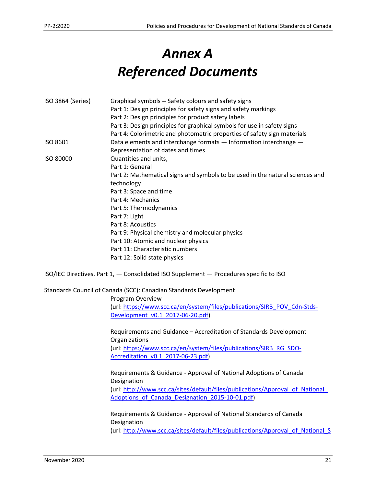# *Annex A Referenced Documents*

| ISO 3864 (Series) | Graphical symbols -- Safety colours and safety signs                                                                                                        |
|-------------------|-------------------------------------------------------------------------------------------------------------------------------------------------------------|
|                   | Part 1: Design principles for safety signs and safety markings                                                                                              |
|                   | Part 2: Design principles for product safety labels                                                                                                         |
|                   | Part 3: Design principles for graphical symbols for use in safety signs                                                                                     |
|                   | Part 4: Colorimetric and photometric properties of safety sign materials                                                                                    |
| ISO 8601          | Data elements and interchange formats - Information interchange -                                                                                           |
|                   | Representation of dates and times                                                                                                                           |
| ISO 80000         | Quantities and units,                                                                                                                                       |
|                   | Part 1: General                                                                                                                                             |
|                   | Part 2: Mathematical signs and symbols to be used in the natural sciences and                                                                               |
|                   | technology                                                                                                                                                  |
|                   | Part 3: Space and time                                                                                                                                      |
|                   | Part 4: Mechanics                                                                                                                                           |
|                   | Part 5: Thermodynamics                                                                                                                                      |
|                   | Part 7: Light                                                                                                                                               |
|                   | Part 8: Acoustics                                                                                                                                           |
|                   | Part 9: Physical chemistry and molecular physics                                                                                                            |
|                   | Part 10: Atomic and nuclear physics                                                                                                                         |
|                   | Part 11: Characteristic numbers                                                                                                                             |
|                   | Part 12: Solid state physics                                                                                                                                |
|                   | ISO/IEC Directives, Part 1, - Consolidated ISO Supplement - Procedures specific to ISO<br>Standards Council of Canada (SCC): Canadian Standards Development |
|                   | Program Overview                                                                                                                                            |
|                   | (url: https://www.scc.ca/en/system/files/publications/SIRB_POV_Cdn-Stds-                                                                                    |
|                   | Development v0.1 2017-06-20.pdf)                                                                                                                            |
|                   | Requirements and Guidance - Accreditation of Standards Development<br>Organizations                                                                         |
|                   | (url: https://www.scc.ca/en/system/files/publications/SIRB RG SDO-                                                                                          |
|                   | Accreditation v0.1 2017-06-23.pdf)                                                                                                                          |
|                   | Requirements & Guidance - Approval of National Adoptions of Canada                                                                                          |
|                   | Designation                                                                                                                                                 |
|                   | (url: http://www.scc.ca/sites/default/files/publications/Approval of National                                                                               |
|                   | Adoptions of Canada Designation 2015-10-01.pdf)                                                                                                             |
|                   | Requirements & Guidance - Approval of National Standards of Canada                                                                                          |
|                   | Designation                                                                                                                                                 |
|                   | (url: http://www.scc.ca/sites/default/files/publications/Approval of National S                                                                             |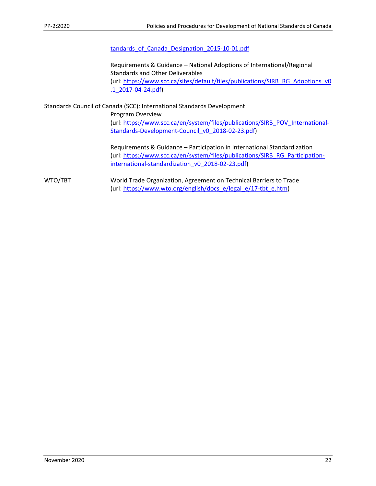#### tandards of Canada Designation 2015-10-01.pdf

Requirements & Guidance – National Adoptions of International/Regional Standards and Other Deliverables (url: https://www.scc.ca/sites/default/files/publications/SIRB\_RG\_Adoptions\_v0 .1\_2017‐04‐24.pdf)

Standards Council of Canada (SCC): International Standards Development

Program Overview (url: https://www.scc.ca/en/system/files/publications/SIRB\_POV\_International‐ Standards-Development-Council\_v0\_2018-02-23.pdf)

Requirements & Guidance – Participation in International Standardization (url: https://www.scc.ca/en/system/files/publications/SIRB\_RG\_Participation‐ international-standardization\_v0\_2018-02-23.pdf)

WTO/TBT World Trade Organization, Agreement on Technical Barriers to Trade (url: https://www.wto.org/english/docs\_e/legal\_e/17-tbt\_e.htm)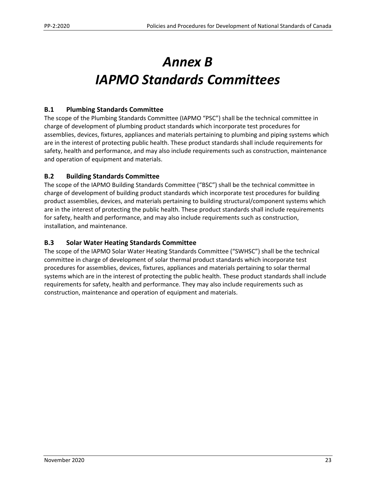# *Annex B IAPMO Standards Committees*

## **B.1 Plumbing Standards Committee**

The scope of the Plumbing Standards Committee (IAPMO "PSC") shall be the technical committee in charge of development of plumbing product standards which incorporate test procedures for assemblies, devices, fixtures, appliances and materials pertaining to plumbing and piping systems which are in the interest of protecting public health. These product standards shall include requirements for safety, health and performance, and may also include requirements such as construction, maintenance and operation of equipment and materials.

## **B.2 Building Standards Committee**

The scope of the IAPMO Building Standards Committee ("BSC") shall be the technical committee in charge of development of building product standards which incorporate test procedures for building product assemblies, devices, and materials pertaining to building structural/component systems which are in the interest of protecting the public health. These product standards shall include requirements for safety, health and performance, and may also include requirements such as construction, installation, and maintenance.

### **B.3 Solar Water Heating Standards Committee**

The scope of the IAPMO Solar Water Heating Standards Committee ("SWHSC") shall be the technical committee in charge of development of solar thermal product standards which incorporate test procedures for assemblies, devices, fixtures, appliances and materials pertaining to solar thermal systems which are in the interest of protecting the public health. These product standards shall include requirements for safety, health and performance. They may also include requirements such as construction, maintenance and operation of equipment and materials.